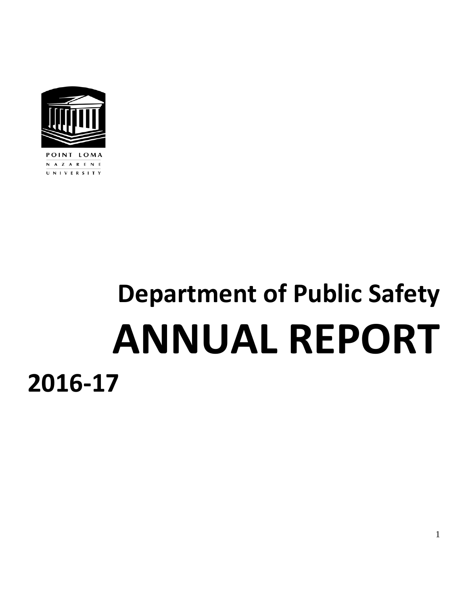

UNIVERSITY

**Department of Public Safety ANNUAL REPORT 2016-17**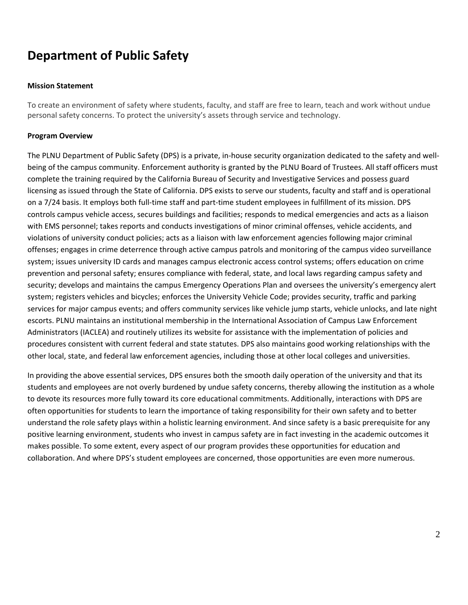# **Department of Public Safety**

### **Mission Statement**

To create an environment of safety where students, faculty, and staff are free to learn, teach and work without undue personal safety concerns. To protect the university's assets through service and technology.

## **Program Overview**

The PLNU Department of Public Safety (DPS) is a private, in-house security organization dedicated to the safety and wellbeing of the campus community. Enforcement authority is granted by the PLNU Board of Trustees. All staff officers must complete the training required by the California Bureau of Security and Investigative Services and possess guard licensing as issued through the State of California. DPS exists to serve our students, faculty and staff and is operational on a 7/24 basis. It employs both full-time staff and part-time student employees in fulfillment of its mission. DPS controls campus vehicle access, secures buildings and facilities; responds to medical emergencies and acts as a liaison with EMS personnel; takes reports and conducts investigations of minor criminal offenses, vehicle accidents, and violations of university conduct policies; acts as a liaison with law enforcement agencies following major criminal offenses; engages in crime deterrence through active campus patrols and monitoring of the campus video surveillance system; issues university ID cards and manages campus electronic access control systems; offers education on crime prevention and personal safety; ensures compliance with federal, state, and local laws regarding campus safety and security; develops and maintains the campus Emergency Operations Plan and oversees the university's emergency alert system; registers vehicles and bicycles; enforces the University Vehicle Code; provides security, traffic and parking services for major campus events; and offers community services like vehicle jump starts, vehicle unlocks, and late night escorts. PLNU maintains an institutional membership in the International Association of Campus Law Enforcement Administrators (IACLEA) and routinely utilizes its website for assistance with the implementation of policies and procedures consistent with current federal and state statutes. DPS also maintains good working relationships with the other local, state, and federal law enforcement agencies, including those at other local colleges and universities.

In providing the above essential services, DPS ensures both the smooth daily operation of the university and that its students and employees are not overly burdened by undue safety concerns, thereby allowing the institution as a whole to devote its resources more fully toward its core educational commitments. Additionally, interactions with DPS are often opportunities for students to learn the importance of taking responsibility for their own safety and to better understand the role safety plays within a holistic learning environment. And since safety is a basic prerequisite for any positive learning environment, students who invest in campus safety are in fact investing in the academic outcomes it makes possible. To some extent, every aspect of our program provides these opportunities for education and collaboration. And where DPS's student employees are concerned, those opportunities are even more numerous.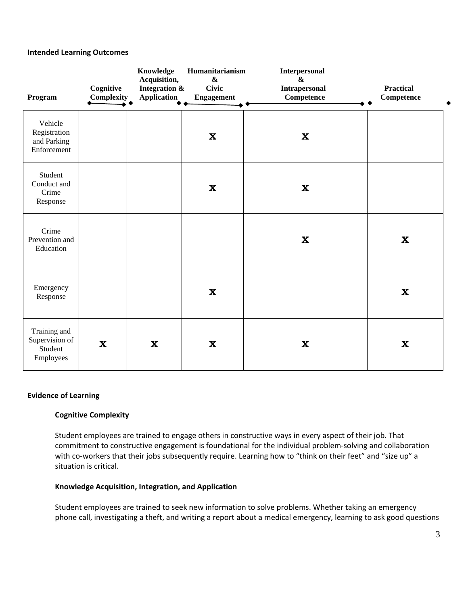#### **Intended Learning Outcomes**

| Program                                                | Cognitive<br>Complexity | Knowledge<br>Acquisition,<br>Integration &<br><b>Application</b> | Humanitarianism<br>$\pmb{\&}$<br><b>Civic</b><br><b>Engagement</b> | <b>Interpersonal</b><br>$\boldsymbol{\&}$<br>Intrapersonal<br><b>Competence</b> | <b>Practical</b><br>Competence |
|--------------------------------------------------------|-------------------------|------------------------------------------------------------------|--------------------------------------------------------------------|---------------------------------------------------------------------------------|--------------------------------|
| Vehicle<br>Registration<br>and Parking<br>Enforcement  |                         |                                                                  | $\boldsymbol{\mathrm{X}}$                                          | $\mathbf{X}$                                                                    |                                |
| Student<br>Conduct and<br>Crime<br>Response            |                         |                                                                  | $\boldsymbol{\mathrm{X}}$                                          | $\mathbf{X}$                                                                    |                                |
| Crime<br>Prevention and<br>Education                   |                         |                                                                  |                                                                    | $\mathbf{X}$                                                                    | $\boldsymbol{\mathrm{X}}$      |
| Emergency<br>Response                                  |                         |                                                                  | $\boldsymbol{\mathrm{X}}$                                          |                                                                                 | $\boldsymbol{\mathrm{X}}$      |
| Training and<br>Supervision of<br>Student<br>Employees | $\mathbf x$             | $\mathbf x$                                                      | $\mathbf X$                                                        | $\mathbf{X}$                                                                    | $\boldsymbol{\mathrm{X}}$      |

#### **Evidence of Learning**

#### **Cognitive Complexity**

Student employees are trained to engage others in constructive ways in every aspect of their job. That commitment to constructive engagement is foundational for the individual problem-solving and collaboration with co-workers that their jobs subsequently require. Learning how to "think on their feet" and "size up" a situation is critical.

#### **Knowledge Acquisition, Integration, and Application**

Student employees are trained to seek new information to solve problems. Whether taking an emergency phone call, investigating a theft, and writing a report about a medical emergency, learning to ask good questions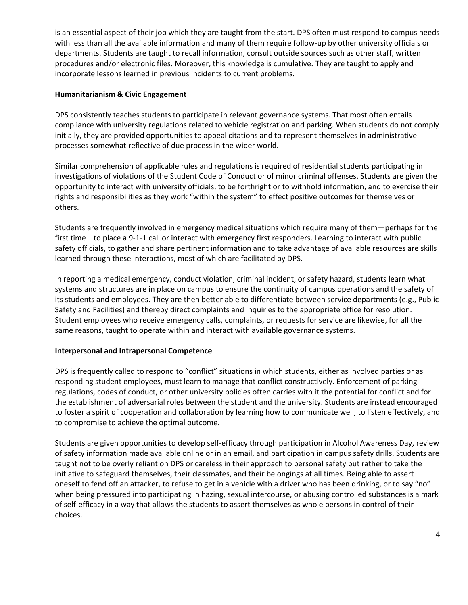is an essential aspect of their job which they are taught from the start. DPS often must respond to campus needs with less than all the available information and many of them require follow-up by other university officials or departments. Students are taught to recall information, consult outside sources such as other staff, written procedures and/or electronic files. Moreover, this knowledge is cumulative. They are taught to apply and incorporate lessons learned in previous incidents to current problems.

### **Humanitarianism & Civic Engagement**

DPS consistently teaches students to participate in relevant governance systems. That most often entails compliance with university regulations related to vehicle registration and parking. When students do not comply initially, they are provided opportunities to appeal citations and to represent themselves in administrative processes somewhat reflective of due process in the wider world.

Similar comprehension of applicable rules and regulations is required of residential students participating in investigations of violations of the Student Code of Conduct or of minor criminal offenses. Students are given the opportunity to interact with university officials, to be forthright or to withhold information, and to exercise their rights and responsibilities as they work "within the system" to effect positive outcomes for themselves or others.

Students are frequently involved in emergency medical situations which require many of them—perhaps for the first time—to place a 9-1-1 call or interact with emergency first responders. Learning to interact with public safety officials, to gather and share pertinent information and to take advantage of available resources are skills learned through these interactions, most of which are facilitated by DPS.

In reporting a medical emergency, conduct violation, criminal incident, or safety hazard, students learn what systems and structures are in place on campus to ensure the continuity of campus operations and the safety of its students and employees. They are then better able to differentiate between service departments (e.g., Public Safety and Facilities) and thereby direct complaints and inquiries to the appropriate office for resolution. Student employees who receive emergency calls, complaints, or requests for service are likewise, for all the same reasons, taught to operate within and interact with available governance systems.

# **Interpersonal and Intrapersonal Competence**

DPS is frequently called to respond to "conflict" situations in which students, either as involved parties or as responding student employees, must learn to manage that conflict constructively. Enforcement of parking regulations, codes of conduct, or other university policies often carries with it the potential for conflict and for the establishment of adversarial roles between the student and the university. Students are instead encouraged to foster a spirit of cooperation and collaboration by learning how to communicate well, to listen effectively, and to compromise to achieve the optimal outcome.

Students are given opportunities to develop self-efficacy through participation in Alcohol Awareness Day, review of safety information made available online or in an email, and participation in campus safety drills. Students are taught not to be overly reliant on DPS or careless in their approach to personal safety but rather to take the initiative to safeguard themselves, their classmates, and their belongings at all times. Being able to assert oneself to fend off an attacker, to refuse to get in a vehicle with a driver who has been drinking, or to say "no" when being pressured into participating in hazing, sexual intercourse, or abusing controlled substances is a mark of self-efficacy in a way that allows the students to assert themselves as whole persons in control of their choices.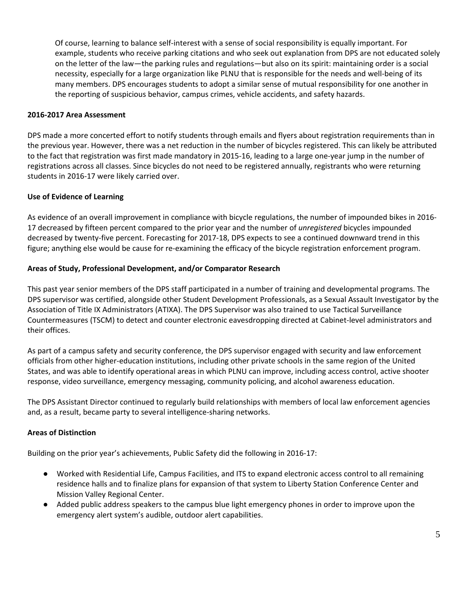Of course, learning to balance self-interest with a sense of social responsibility is equally important. For example, students who receive parking citations and who seek out explanation from DPS are not educated solely on the letter of the law—the parking rules and regulations—but also on its spirit: maintaining order is a social necessity, especially for a large organization like PLNU that is responsible for the needs and well-being of its many members. DPS encourages students to adopt a similar sense of mutual responsibility for one another in the reporting of suspicious behavior, campus crimes, vehicle accidents, and safety hazards.

### **2016-2017 Area Assessment**

DPS made a more concerted effort to notify students through emails and flyers about registration requirements than in the previous year. However, there was a net reduction in the number of bicycles registered. This can likely be attributed to the fact that registration was first made mandatory in 2015-16, leading to a large one-year jump in the number of registrations across all classes. Since bicycles do not need to be registered annually, registrants who were returning students in 2016-17 were likely carried over.

## **Use of Evidence of Learning**

As evidence of an overall improvement in compliance with bicycle regulations, the number of impounded bikes in 2016- 17 decreased by fifteen percent compared to the prior year and the number of *unregistered* bicycles impounded decreased by twenty-five percent. Forecasting for 2017-18, DPS expects to see a continued downward trend in this figure; anything else would be cause for re-examining the efficacy of the bicycle registration enforcement program.

## **Areas of Study, Professional Development, and/or Comparator Research**

This past year senior members of the DPS staff participated in a number of training and developmental programs. The DPS supervisor was certified, alongside other Student Development Professionals, as a Sexual Assault Investigator by the Association of Title IX Administrators (ATIXA). The DPS Supervisor was also trained to use Tactical Surveillance Countermeasures (TSCM) to detect and counter electronic eavesdropping directed at Cabinet-level administrators and their offices.

As part of a campus safety and security conference, the DPS supervisor engaged with security and law enforcement officials from other higher-education institutions, including other private schools in the same region of the United States, and was able to identify operational areas in which PLNU can improve, including access control, active shooter response, video surveillance, emergency messaging, community policing, and alcohol awareness education.

The DPS Assistant Director continued to regularly build relationships with members of local law enforcement agencies and, as a result, became party to several intelligence-sharing networks.

# **Areas of Distinction**

Building on the prior year's achievements, Public Safety did the following in 2016-17:

- Worked with Residential Life, Campus Facilities, and ITS to expand electronic access control to all remaining residence halls and to finalize plans for expansion of that system to Liberty Station Conference Center and Mission Valley Regional Center.
- Added public address speakers to the campus blue light emergency phones in order to improve upon the emergency alert system's audible, outdoor alert capabilities.